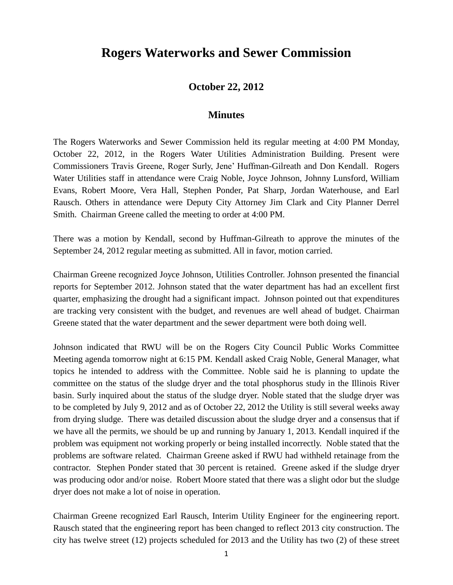## **Rogers Waterworks and Sewer Commission**

## **October 22, 2012**

## **Minutes**

The Rogers Waterworks and Sewer Commission held its regular meeting at 4:00 PM Monday, October 22, 2012, in the Rogers Water Utilities Administration Building. Present were Commissioners Travis Greene, Roger Surly, Jene' Huffman-Gilreath and Don Kendall. Rogers Water Utilities staff in attendance were Craig Noble, Joyce Johnson, Johnny Lunsford, William Evans, Robert Moore, Vera Hall, Stephen Ponder, Pat Sharp, Jordan Waterhouse, and Earl Rausch. Others in attendance were Deputy City Attorney Jim Clark and City Planner Derrel Smith. Chairman Greene called the meeting to order at 4:00 PM.

There was a motion by Kendall, second by Huffman-Gilreath to approve the minutes of the September 24, 2012 regular meeting as submitted. All in favor, motion carried.

Chairman Greene recognized Joyce Johnson, Utilities Controller. Johnson presented the financial reports for September 2012. Johnson stated that the water department has had an excellent first quarter, emphasizing the drought had a significant impact. Johnson pointed out that expenditures are tracking very consistent with the budget, and revenues are well ahead of budget. Chairman Greene stated that the water department and the sewer department were both doing well.

Johnson indicated that RWU will be on the Rogers City Council Public Works Committee Meeting agenda tomorrow night at 6:15 PM. Kendall asked Craig Noble, General Manager, what topics he intended to address with the Committee. Noble said he is planning to update the committee on the status of the sludge dryer and the total phosphorus study in the Illinois River basin. Surly inquired about the status of the sludge dryer. Noble stated that the sludge dryer was to be completed by July 9, 2012 and as of October 22, 2012 the Utility is still several weeks away from drying sludge. There was detailed discussion about the sludge dryer and a consensus that if we have all the permits, we should be up and running by January 1, 2013. Kendall inquired if the problem was equipment not working properly or being installed incorrectly. Noble stated that the problems are software related. Chairman Greene asked if RWU had withheld retainage from the contractor. Stephen Ponder stated that 30 percent is retained. Greene asked if the sludge dryer was producing odor and/or noise. Robert Moore stated that there was a slight odor but the sludge dryer does not make a lot of noise in operation.

Chairman Greene recognized Earl Rausch, Interim Utility Engineer for the engineering report. Rausch stated that the engineering report has been changed to reflect 2013 city construction. The city has twelve street (12) projects scheduled for 2013 and the Utility has two (2) of these street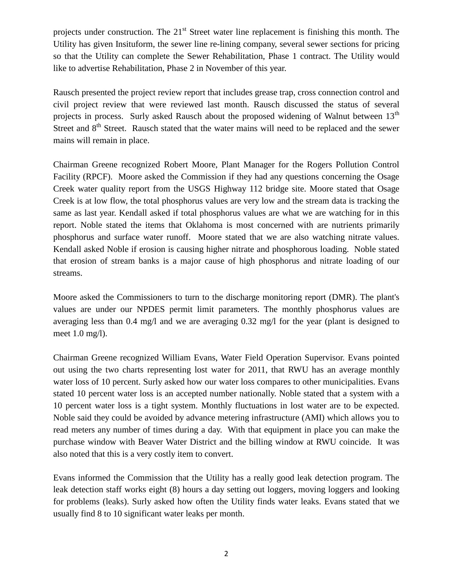projects under construction. The  $21<sup>st</sup>$  Street water line replacement is finishing this month. The Utility has given Insituform, the sewer line re-lining company, several sewer sections for pricing so that the Utility can complete the Sewer Rehabilitation, Phase 1 contract. The Utility would like to advertise Rehabilitation, Phase 2 in November of this year.

Rausch presented the project review report that includes grease trap, cross connection control and civil project review that were reviewed last month. Rausch discussed the status of several projects in process. Surly asked Rausch about the proposed widening of Walnut between 13<sup>th</sup> Street and  $8<sup>th</sup>$  Street. Rausch stated that the water mains will need to be replaced and the sewer mains will remain in place.

Chairman Greene recognized Robert Moore, Plant Manager for the Rogers Pollution Control Facility (RPCF). Moore asked the Commission if they had any questions concerning the Osage Creek water quality report from the USGS Highway 112 bridge site. Moore stated that Osage Creek is at low flow, the total phosphorus values are very low and the stream data is tracking the same as last year. Kendall asked if total phosphorus values are what we are watching for in this report. Noble stated the items that Oklahoma is most concerned with are nutrients primarily phosphorus and surface water runoff. Moore stated that we are also watching nitrate values. Kendall asked Noble if erosion is causing higher nitrate and phosphorous loading. Noble stated that erosion of stream banks is a major cause of high phosphorus and nitrate loading of our streams.

Moore asked the Commissioners to turn to the discharge monitoring report (DMR). The plant's values are under our NPDES permit limit parameters. The monthly phosphorus values are averaging less than 0.4 mg/l and we are averaging 0.32 mg/l for the year (plant is designed to meet 1.0 mg/l).

Chairman Greene recognized William Evans, Water Field Operation Supervisor. Evans pointed out using the two charts representing lost water for 2011, that RWU has an average monthly water loss of 10 percent. Surly asked how our water loss compares to other municipalities. Evans stated 10 percent water loss is an accepted number nationally. Noble stated that a system with a 10 percent water loss is a tight system. Monthly fluctuations in lost water are to be expected. Noble said they could be avoided by advance metering infrastructure (AMI) which allows you to read meters any number of times during a day. With that equipment in place you can make the purchase window with Beaver Water District and the billing window at RWU coincide. It was also noted that this is a very costly item to convert.

Evans informed the Commission that the Utility has a really good leak detection program. The leak detection staff works eight (8) hours a day setting out loggers, moving loggers and looking for problems (leaks). Surly asked how often the Utility finds water leaks. Evans stated that we usually find 8 to 10 significant water leaks per month.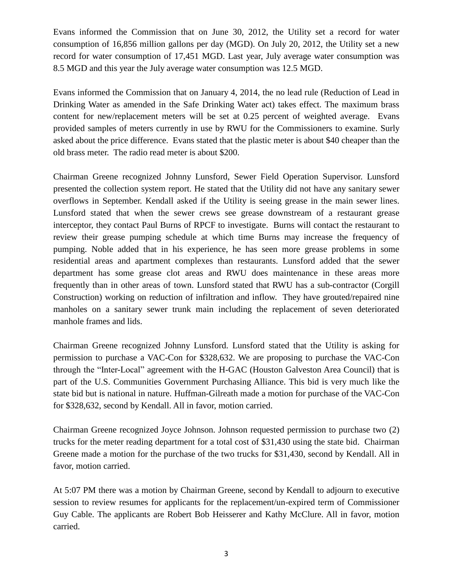Evans informed the Commission that on June 30, 2012, the Utility set a record for water consumption of 16,856 million gallons per day (MGD). On July 20, 2012, the Utility set a new record for water consumption of 17,451 MGD. Last year, July average water consumption was 8.5 MGD and this year the July average water consumption was 12.5 MGD.

Evans informed the Commission that on January 4, 2014, the no lead rule (Reduction of Lead in Drinking Water as amended in the Safe Drinking Water act) takes effect. The maximum brass content for new/replacement meters will be set at 0.25 percent of weighted average. Evans provided samples of meters currently in use by RWU for the Commissioners to examine. Surly asked about the price difference. Evans stated that the plastic meter is about \$40 cheaper than the old brass meter. The radio read meter is about \$200.

Chairman Greene recognized Johnny Lunsford, Sewer Field Operation Supervisor. Lunsford presented the collection system report. He stated that the Utility did not have any sanitary sewer overflows in September. Kendall asked if the Utility is seeing grease in the main sewer lines. Lunsford stated that when the sewer crews see grease downstream of a restaurant grease interceptor, they contact Paul Burns of RPCF to investigate. Burns will contact the restaurant to review their grease pumping schedule at which time Burns may increase the frequency of pumping. Noble added that in his experience, he has seen more grease problems in some residential areas and apartment complexes than restaurants. Lunsford added that the sewer department has some grease clot areas and RWU does maintenance in these areas more frequently than in other areas of town. Lunsford stated that RWU has a sub-contractor (Corgill Construction) working on reduction of infiltration and inflow. They have grouted/repaired nine manholes on a sanitary sewer trunk main including the replacement of seven deteriorated manhole frames and lids.

Chairman Greene recognized Johnny Lunsford. Lunsford stated that the Utility is asking for permission to purchase a VAC-Con for \$328,632. We are proposing to purchase the VAC-Con through the "Inter-Local" agreement with the H-GAC (Houston Galveston Area Council) that is part of the U.S. Communities Government Purchasing Alliance. This bid is very much like the state bid but is national in nature. Huffman-Gilreath made a motion for purchase of the VAC-Con for \$328,632, second by Kendall. All in favor, motion carried.

Chairman Greene recognized Joyce Johnson. Johnson requested permission to purchase two (2) trucks for the meter reading department for a total cost of \$31,430 using the state bid. Chairman Greene made a motion for the purchase of the two trucks for \$31,430, second by Kendall. All in favor, motion carried.

At 5:07 PM there was a motion by Chairman Greene, second by Kendall to adjourn to executive session to review resumes for applicants for the replacement/un-expired term of Commissioner Guy Cable. The applicants are Robert Bob Heisserer and Kathy McClure. All in favor, motion carried.